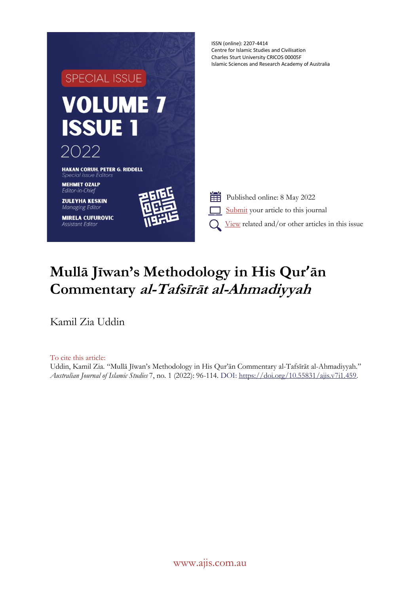

# **Mullā Jīwan's Methodology in His Qur'ān Commentary al-Tafsīrāt al-Ahmadiyyah**

Kamil Zia Uddin

To cite this article: Uddin, Kamil Zia. "Mullā Jīwan's Methodology in His Qur'ān Commentary al-Tafsīrāt al-Ahmadiyyah." *Australian Journal of Islamic Studies* 7, no. 1 (2022): 96-114. DOI[: https://doi.org/10.55831/ajis.v7i1.459.](https://doi.org/10.55831/ajis.v7i1.459)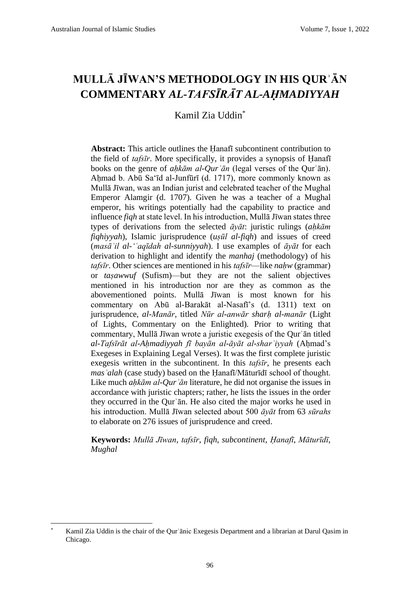# **MULLĀ JĪWAN'S METHODOLOGY IN HIS QURʾĀN COMMENTARY** *AL-TAFSĪRĀT AL-AḤMADIYYAH*

Kamil Zia Uddin\*

**Abstract:** This article outlines the Ḥanafī subcontinent contribution to the field of *tafsīr*. More specifically, it provides a synopsis of Ḥanafī books on the genre of *aḥkām al-Qurʾān* (legal verses of the Qurʾān). Ahmad b. Abū Sa'īd al-Junfūrī (d. 1717), more commonly known as Mullā Jīwan, was an Indian jurist and celebrated teacher of the Mughal Emperor Alamgir (d. 1707). Given he was a teacher of a Mughal emperor, his writings potentially had the capability to practice and influence *fiqh* at state level. In his introduction, Mullā Jīwan states three types of derivations from the selected *āyāt*: juristic rulings (*aḥkām fiqhiyyah*), Islamic jurisprudence (*uṣūl al-fiqh*) and issues of creed (*masāʾil al-'ʿaqīdah al-sunniyyah*). I use examples of *āyāt* for each derivation to highlight and identify the *manhaj* (methodology) of his *tafsīr*. Other sciences are mentioned in his *tafsīr*—like *nahw* (grammar) or *taṣawwuf* (Sufism)—but they are not the salient objectives mentioned in his introduction nor are they as common as the abovementioned points. Mullā Jīwan is most known for his commentary on Abū al-Barakāt al-Nasafī's (d. 1311) text on jurisprudence, *al-Manār*, titled *Nūr al-anwār sharḥ al-manār* (Light of Lights, Commentary on the Enlighted)*.* Prior to writing that commentary, Mullā Jīwan wrote a juristic exegesis of the Qurʾān titled *al-Tafsīrāt al-Aḥmadiyyah fī bayān al-āyāt al-sharʿiyyah* (Aḥmad's Exegeses in Explaining Legal Verses). It was the first complete juristic exegesis written in the subcontinent. In this *tafsīr*, he presents each *masʾalah* (case study) based on the Ḥanafī/Māturīdī school of thought. Like much *aḥkām al-Qurʾān* literature, he did not organise the issues in accordance with juristic chapters; rather, he lists the issues in the order they occurred in the Qurʾān. He also cited the major works he used in his introduction. Mullā Jīwan selected about 500 *āyāt* from 63 *sūrahs* to elaborate on 276 issues of jurisprudence and creed.

**Keywords:** *Mullā Jīwan*, *tafsīr*, *fiqh*, *subcontinent*, *Ḥanafī*, *Māturīdī*, *Mughal*

Kamil Zia Uddin is the chair of the Qur'ānic Exegesis Department and a librarian at Darul Qasim in Chicago.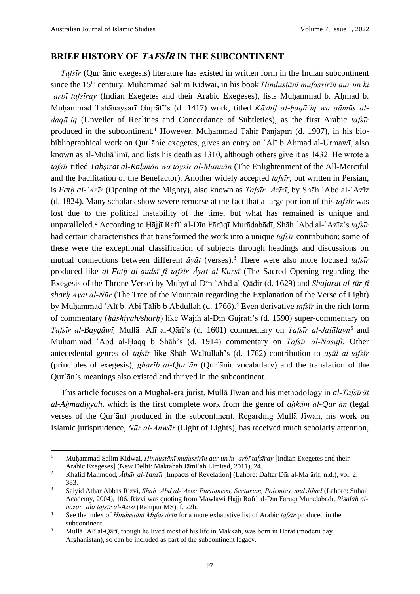### **BRIEF HISTORY OF TAFSĪR IN THE SUBCONTINENT**

*Tafsīr* (Qurʾānic exegesis) literature has existed in written form in the Indian subcontinent since the 15th century. Muḥammad Salim Kidwai, in his book *Hindustānī mufassirīn aur un ki ʿarbī tafsīray* (Indian Exegetes and their Arabic Exegeses), lists Muḥammad b. Aḥmad b. Muḥammad Tahānaysarī Gujrātī's (d. 1417) work, titled *Kāshif al-ḥaqāʾiq wa qāmūs aldaqāʾiq* (Unveiler of Realities and Concordance of Subtleties), as the first Arabic *tafsīr* produced in the subcontinent.<sup>1</sup> However, Muhammad Tāhir Panjapīrī (d. 1907), in his biobibliographical work on Qur'ānic exegetes, gives an entry on 'Alī b Ahmad al-Urmawī, also known as al-Muhāʾimī, and lists his death as 1310, although others give it as 1432. He wrote a *tafsīr* titled *Tabṣirat al-Raḥmān wa taysīr al-Mannān* (The Enlightenment of the All-Merciful and the Facilitation of the Benefactor). Another widely accepted *tafsīr*, but written in Persian, is *Fatḥ al-ʿAzīz* (Opening of the Mighty), also known as *Tafsīr ʿAzīzī*, by Shāh ʿAbd al-ʿAzīz (d. 1824). Many scholars show severe remorse at the fact that a large portion of this *tafsīr* was lost due to the political instability of the time, but what has remained is unique and unparalleled.<sup>2</sup> According to Ḥājjī Rafīʿ al-Dīn Fārūqī Murādabādī, Shāh ʿAbd al-ʿAzīz's *tafsīr* had certain characteristics that transformed the work into a unique *tafsīr* contribution; some of these were the exceptional classification of subjects through headings and discussions on mutual connections between different *āyāt* (verses).<sup>3</sup> There were also more focused *tafsīr* produced like *al-Fatḥ al-qudsī fī tafsīr Āyat al-Kursī* (The Sacred Opening regarding the Exegesis of the Throne Verse) by Muḥyī al-Dīn ʿAbd al-Qādir (d. 1629) and *Shajarat al-ṭūr fī sharḥ Āyat al-Nūr* (The Tree of the Mountain regarding the Explanation of the Verse of Light) by Muḥammad ʿAlī b. Abi Ṭālib b Abdullah (d. 1766).<sup>4</sup> Even derivative *tafsīr* in the rich form of commentary (*ḥāshiyah/sharḥ*) like Wajīh al-Dīn Gujrātī's (d. 1590) super-commentary on *Tafsīr al-Bayḍāwī,* Mullā ʿAlī al-Qārī's (d. 1601) commentary on *Tafsīr al-Jalālayn*<sup>5</sup> and Muḥammad ʿAbd al-Ḥaqq b Shāh's (d. 1914) commentary on *Tafsīr al-Nasafī*. Other antecedental genres of *tafsīr* like Shāh Walīullah's (d. 1762) contribution to *uṣūl al-tafsīr* (principles of exegesis), *gharīb al-Qurʾān* (Qurʾānic vocabulary) and the translation of the Qurʾān's meanings also existed and thrived in the subcontinent.

This article focuses on a Mughal-era jurist, Mullā Jīwan and his methodology in *al-Tafsīrāt al-Aḥmadiyyah*, which is the first complete work from the genre of *aḥkām al-Qurʾān* (legal verses of the Qurʾān) produced in the subcontinent. Regarding Mullā Jīwan, his work on Islamic jurisprudence, *Nūr al-Anwār* (Light of Lights), has received much scholarly attention,

<sup>1</sup> Muḥammad Salim Kidwai, *Hindustānī mufassirīn aur un ki 'arbī tafsīray* [Indian Exegetes and their Arabic Exegeses] (New Delhi: Maktabah Jāmiʿah Limited, 2011), 24.

<sup>2</sup> Khalid Mahmood, *Āthār al-Tanzīl* [Impacts of Revelation] (Lahore: Daftar Dār al-Maʿārif, n.d.), vol. 2, 383.

<sup>3</sup> Saiyid Athar Abbas Rizvi, *Shāh ʿAbd al-ʿAzīz: Puritanism, Sectarian, Polemics, and Jihād* (Lahore: Suhail Academy, 2004), 106. Rizvi was quoting from Mawlawi Ḥājjī Rafīʿ al-Dīn Fārūqī Murādabādī, *Risalah alnazar ʿala tafsīr al-Azizi* (Rampur MS), f. 22b.

<sup>4</sup> See the index of *Hindustānī Mufassirīn* for a more exhaustive list of Arabic *tafsīr* produced in the subcontinent.

<sup>5</sup> Mullā ʿAlī al-Qārī, though he lived most of his life in Makkah, was born in Herat (modern day Afghanistan), so can be included as part of the subcontinent legacy.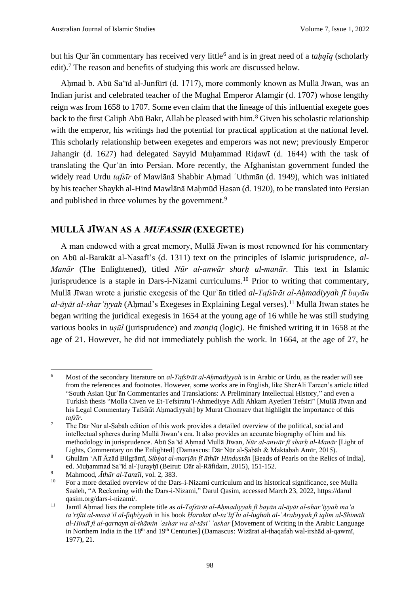but his Qur'ān commentary has received very little<sup>6</sup> and is in great need of a *taḥqīq* (scholarly edit).<sup>7</sup> The reason and benefits of studying this work are discussed below.

Ahmad b. Abū Sa'īd al-Junfūrī (d. 1717), more commonly known as Mullā Jīwan, was an Indian jurist and celebrated teacher of the Mughal Emperor Alamgir (d. 1707) whose lengthy reign was from 1658 to 1707. Some even claim that the lineage of this influential exegete goes back to the first Caliph Abū Bakr, Allah be pleased with him.<sup>8</sup> Given his scholastic relationship with the emperor, his writings had the potential for practical application at the national level. This scholarly relationship between exegetes and emperors was not new; previously Emperor Jahangir (d. 1627) had delegated Sayyid Muhammad Ridawī (d. 1644) with the task of translating the Qurʾān into Persian. More recently, the Afghanistan government funded the widely read Urdu *tafsīr* of Mawlānā Shabbir Aḥmad ʿUthmān (d. 1949), which was initiated by his teacher Shaykh al-Hind Mawlānā Maḥmūd Ḥasan (d. 1920), to be translated into Persian and published in three volumes by the government.<sup>9</sup>

#### **MULLĀ JĪWAN AS A MUFASSIR (EXEGETE)**

A man endowed with a great memory, Mullā Jīwan is most renowned for his commentary on Abū al-Barakāt al-Nasafī's (d. 1311) text on the principles of Islamic jurisprudence, *al-Manār* (The Enlightened), titled *Nūr al-anwār sharḥ al-manār.* This text in Islamic jurisprudence is a staple in Dars-i-Nizami curriculums.<sup>10</sup> Prior to writing that commentary, Mullā Jīwan wrote a juristic exegesis of the Qurʾān titled *al-Tafsīrāt al-Aḥmadiyyah fī bayān al-āyāt al-sharʿiyyah* (Aḥmad's Exegeses in Explaining Legal verses).<sup>11</sup> Mullā Jīwan states he began writing the juridical exegesis in 1654 at the young age of 16 while he was still studying various books in *uṣūl* (jurisprudence) and *manṭiq* (logic*)*. He finished writing it in 1658 at the age of 21. However, he did not immediately publish the work. In 1664, at the age of 27, he

<sup>&</sup>lt;sup>6</sup> Most of the secondary literature on *al-Tafsīrāt al-Ahmadiyyah* is in Arabic or Urdu, as the reader will see from the references and footnotes. However, some works are in English, like SherAli Tareen's article titled "South Asian Qurʾān Commentaries and Translations: A Preliminary Intellectual History," and even a Turkish thesis "Molla Civen ve Et-Tefsiratu'l-Ahmediyye Adli Ahkam Ayetleri Tefsiri" [Mullā Jīwan and his Legal Commentary Tafsīrāt Ahmadiyyah] by Murat Chomaev that highlight the importance of this *tafsīr*.

<sup>&</sup>lt;sup>7</sup> The Dār Nūr al-Sabāh edition of this work provides a detailed overview of the political, social and intellectual spheres during Mullā Jīwan's era. It also provides an accurate biography of him and his methodology in jurisprudence. Abū Saʿīd Aḥmad Mullā Jīwan, *Nūr al-anwār fī sharḥ al-Manār* [Light of Lights, Commentary on the Enlighted] (Damascus: Dār Nūr al-Ṣabāh & Maktabah Amīr, 2015).

<sup>8</sup> Ghulām ʻAlī Āzād Bilgrāmī, *Sibḥat al-marjān fī āthār Hindustān* [Beads of Pearls on the Relics of India], ed. Muḥammad Saʻīd al-Ṭurayḥī (Beirut: Dār al-Rāfidain, 2015), 151-152.

<sup>9</sup> Mahmood, *Āthār al-Tanzīl*, vol. 2, 383.

<sup>10</sup> For a more detailed overview of the Dars-i-Nizami curriculum and its historical significance, see Mulla Saaleh, "A Reckoning with the Dars-i-Nizami," Darul Qasim, accessed March 23, 2022, https://darul qasim.org/dars-i-nizami/.

<sup>11</sup> Jamīl Aḥmad lists the complete title as *al-Tafsīrāt al-Aḥmadiyyah fī bayān al-āyāt al-sharʿiyyah maʿa taʿrīfāt al-masāʾil al-fiqhiyyah* in his book *Ḥarakat al-taʾlīf bi al-lughah al-ʿArabiyyah fī iqlīm al-Shimālī al-Hindī fi al-qarnayn al-thāmin ʿashar wa al-tāsiʿ ʿashar* [Movement of Writing in the Arabic Language in Northern India in the 18<sup>th</sup> and 19<sup>th</sup> Centuries] (Damascus: Wizārat al-thaqafah wal-irshād al-qawmī, 1977), 21.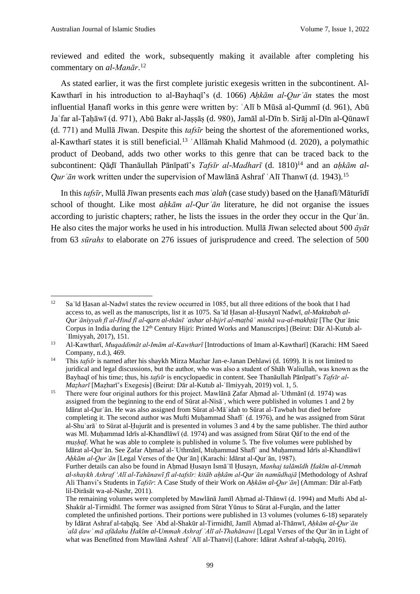reviewed and edited the work, subsequently making it available after completing his commentary on *al-Manār*. 12

As stated earlier, it was the first complete juristic exegesis written in the subcontinent. Al-Kawtharī in his introduction to al-Bayhaqī's (d. 1066) *Ahkām al-Qur'ān* states the most influential Ḥanafī works in this genre were written by: ʿAlī b Mūsā al-Qummī (d. 961), Abū Jaʿfar al-Ṭaḥāwī (d. 971), Abū Bakr al-Jaṣṣāṣ (d. 980), Jamāl al-Dīn b. Sirāj al-Dīn al-Qūnawī (d. 771) and Mullā Jīwan. Despite this *tafsīr* being the shortest of the aforementioned works, al-Kawtharī states it is still beneficial.<sup>13</sup> ʿAllāmah Khalid Mahmood (d. 2020), a polymathic product of Deoband, adds two other works to this genre that can be traced back to the subcontinent: Qāḍī Thanāullah Pānīpatī's *Tafsīr al-Madharī* (d. 1810)<sup>14</sup> and an *aḥkām al-Qurʾān* work written under the supervision of Mawlānā Ashraf ʿAlī Thanwī (d. 1943).<sup>15</sup>

In this *tafsīr*, Mullā Jīwan presents each *masʾalah* (case study) based on the Ḥanafī/Māturīdī school of thought. Like most *ahkām al-Qur*'*ān* literature, he did not organise the issues according to juristic chapters; rather, he lists the issues in the order they occur in the Qurʾān. He also cites the major works he used in his introduction. Mullā Jīwan selected about 500 *āyāt* from 63 *sūrahs* to elaborate on 276 issues of jurisprudence and creed. The selection of 500

<sup>&</sup>lt;sup>12</sup> Sa'īd Hasan al-Nadwī states the review occurred in 1085, but all three editions of the book that I had access to, as well as the manuscripts, list it as 1075. Saʿīd Ḥasan al-Ḥusaynī Nadwī, *al-Maktabah al-Qurʾāniyyah fī al-Hind fī al-qarn al-thānī ʿashar al-hijrī al-maṭbūʿ minhā wa-al-makhṭūṭ* [The Qurʾānic Corpus in India during the  $12<sup>th</sup>$  Century Hijri: Printed Works and Manuscripts] (Beirut: Dār Al-Kutub al-ʿIlmiyyah, 2017), 151.

<sup>13</sup> Al-Kawtharī, *Muqaddimāt al-Imām al-Kawtharī* [Introductions of Imam al-Kawtharī] (Karachi: HM Saeed Company, n.d.), 469.

<sup>14</sup> This *tafsīr* is named after his shaykh Mirza Mazhar Jan-e-Janan Dehlawi (d. 1699). It is not limited to juridical and legal discussions, but the author, who was also a student of Shāh Waliullah, was known as the Bayhaqī of his time; thus, his *tafsīr* is encyclopaedic in content. See Thanāullah Pānīpatī's *Tafsīr al-Maẓharī* [Maẓharī's Exegesis] (Beirut: Dār al-Kutub al-ʿIlmiyyah, 2019) vol. 1, 5.

<sup>&</sup>lt;sup>15</sup> There were four original authors for this project. Mawlānā Zafar Aḥmad al-ʿUthmānī (d. 1974) was assigned from the beginning to the end of Sūrat al-Nisāʾ, which were published in volumes 1 and 2 by Idārat al-Qurʾān. He was also assigned from Sūrat al-Māʾidah to Sūrat al-Tawbah but died before completing it. The second author was Mufti Muhammad Shafī<sup>'</sup> (d. 1976), and he was assigned from Sūrat al-Shuʿarāʾ to Sūrat al-Ḥujurāt and is presented in volumes 3 and 4 by the same publisher. The third author was Ml. Muhammad Idrīs al-Khandlāwī (d. 1974) and was assigned from Sūrat Qāf to the end of the *muṣḥaf*. What he was able to complete is published in volume 5. The five volumes were published by Idārat al-Qurʾān. See Ẓafar Aḥmad al-ʿUthmānī, Muḥammad Shafīʿ and Muḥammad Idrīs al-Khandlāwī *Aḥkām al-Qurʾān* [Legal Verses of the Qurʾān] (Karachi: Idārat al-Qurʾān, 1987). Further details can also be found in Aḥmad Ḥusayn Ismāʿīl Ḥusayn, *Manhaj talāmīdh Ḥakīm al-Ummah* 

*al-shaykh Ashraf ʻAlī al-Tahānawī fī al-tafsīr: kitāb aḥkām al-Qurʾān namūdhajā* [Methodology of Ashraf Ali Thanvi's Students in *Tafsīr*: A Case Study of their Work on *Aḥkām al-Qurʾān*] (Amman: Dār al-Fatḥ lil-Dirāsāt wa-al-Nashr, 2011).

The remaining volumes were completed by Mawlānā Jamīl Ahmad al-Thānwī (d. 1994) and Mufti Abd al-Shakūr al-Tirmidhī. The former was assigned from Sūrat Yūnus to Sūrat al-Furqān, and the latter completed the unfinished portions. Their portions were published in 13 volumes (volumes 6-18) separately by Idārat Ashraf al-taḥqīq. See ʿAbd al-Shakūr al-Tirmidhī, Jamīl Aḥmad al-Thānwī, *Aḥkām al-Qurʾān ʿalā ḍawʾ mā afādahu Ḥakīm al-Ummah Ashraf ʿAlī al-Thahānawi* [Legal Verses of the Qurʾān in Light of what was Benefitted from Mawlānā Ashraf 'Alī al-Thanvi] (Lahore: Idārat Ashraf al-tahqīq, 2016).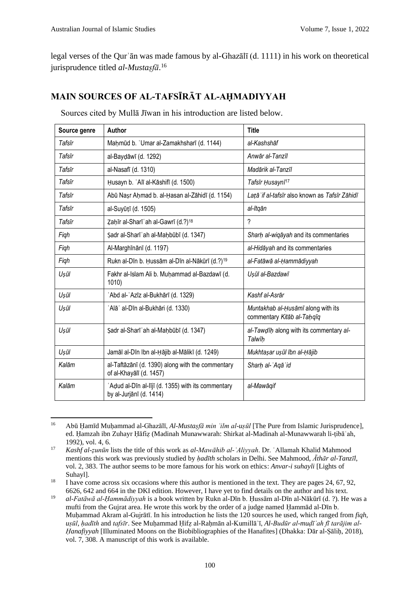legal verses of the Qurʾān was made famous by al-Ghazālī (d. 1111) in his work on theoretical jurisprudence titled *al-Mustaṣfā*. 16

# **MAIN SOURCES OF AL-TAFSĪRĀT AL-AḤMADIYYAH**

| Source genre | Author                                                                       | <b>Title</b>                                                     |
|--------------|------------------------------------------------------------------------------|------------------------------------------------------------------|
| Tafsīr       | Mahmūd b. 'Umar al-Zamakhsharī (d. 1144)                                     | al-Kashshāf                                                      |
| Tafsīr       | al-Baydāwī (d. 1292)                                                         | Anwār al-Tanzīl                                                  |
| Tafsīr       | al-Nasafī (d. 1310)                                                          | Madārik al-Tanzīl                                                |
| Tafsīr       | Husayn b. 'Alī al-Kāshifī (d. 1500)                                          | Tafsīr Husaynī <sup>17</sup>                                     |
| Tafsīr       | Abū Nașr Aḥmad b. al-Ḥasan al-Zāhidī (d. 1154)                               | Lață if al-tafsīr also known as Tafsīr Zāhidī                    |
| Tafsīr       | al-Suyūțī (d. 1505)                                                          | al-Itqān                                                         |
| Tafsīr       | Zaḥīr al-Sharī ʿah al-Gawrī (d.?) <sup>18</sup>                              | $\overline{\phantom{a}}$                                         |
| Figh         | Şadr al-Sharī ʿah al-Maḥbūbī (d. 1347)                                       | Sharh al-wiqāyah and its commentaries                            |
| Figh         | Al-Marghīnānī (d. 1197)                                                      | al-Hidāyah and its commentaries                                  |
| Figh         | Rukn al-Dīn b. Ḥussām al-Dīn al-Nākūrī (d.?) <sup>19</sup>                   | al-Fatāwā al-Ḥammādiyyah                                         |
| Uşūl         | Fakhr al-Islam Ali b. Muhammad al-Bazdawī (d.<br>1010)                       | Usūl al-Bazdawī                                                  |
| Uşūl         | ʿAbd al-ʿAzīz al-Bukhārī (d. 1329)                                           | Kashf al-Asrār                                                   |
| Uşūl         | ʿAlāʾ al-Dīn al-Bukhāri (d. 1330)                                            | Muntakhab al-Husāmī along with its<br>commentary Kitāb al-Taņqīq |
| Uşūl         | Şadr al-Sharī ʿah al-Maḥbūbī (d. 1347)                                       | al-Tawdih along with its commentary al-<br>Talwīh                |
| Uşūl         | Jamāl al-Dīn Ibn al-Ḥājib al-Mālikī (d. 1249)                                | Mukhtaşar uşūl İbn al-Hājib                                      |
| Kalām        | al-Taftāzānī (d. 1390) along with the commentary<br>of al-Khayālī (d. 1457)  | Sharh al-'Aqā'id                                                 |
| Kalām        | Adud al-Dīn al-Iījī (d. 1355) with its commentary<br>by al-Jurjānī (d. 1414) | al-Mawāqif                                                       |

Sources cited by Mullā Jīwan in his introduction are listed below.

<sup>16</sup> Abū Ḥamīd Muḥammad al-Ghazālī, *Al-Mustaṣfā min ʿilm al-uṣūl* [The Pure from Islamic Jurisprudence], ed. Ḥamzah ibn Zuhayr Ḥāfiẓ (Madinah Munawwarah: Shirkat al-Madinah al-Munawwarah li-ṭibāʿah, 1992), vol. 4, 6.

<sup>17</sup> *Kashf al-ẓunūn* lists the title of this work as *al-Mawāhib al-ʿAliyyah*. Dr. ʿAllamah Khalid Mahmood mentions this work was previously studied by *ḥadīth* scholars in Delhi. See Mahmood, *Āthār al-Tanzīl*, vol. 2, 383. The author seems to be more famous for his work on ethics: *Anvar-i suhayli* [Lights of Suhayl].

<sup>&</sup>lt;sup>18</sup> I have come across six occasions where this author is mentioned in the text. They are pages 24, 67, 92, 6626, 642 and 664 in the DKI edition. However, I have yet to find details on the author and his text.

<sup>19</sup> *al-Fatāwā al-Ḥammādiyyah* is a book written by Rukn al-Dīn b. Ḥussām al-Dīn al-Nākūrī (d. ?). He was a mufti from the Gujrat area. He wrote this work by the order of a judge named Ḥammād al-Dīn b. Muḥammad Akram al-Gujrātī. In his introduction he lists the 120 sources he used, which ranged from *fiqh,*  usūl, hadīth and tafsīr. See Muhammad Hifz al-Rahmān al-Kumillā'ī, Al-Budūr al-mudī'ah fī tarājim al-*Ḥanafiyyah* [Illuminated Moons on the Biobibliographies of the Hanafites] (Dhakka: Dār al-Ṣāliḥ, 2018), vol. 7, 308. A manuscript of this work is available.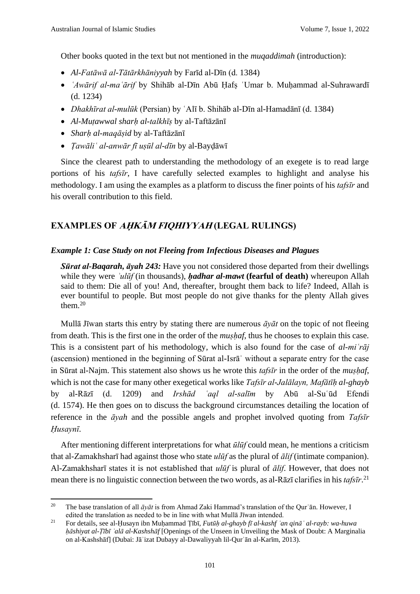Other books quoted in the text but not mentioned in the *muqaddimah* (introduction):

- *Al-Fatāwā al-Tātārkhāniyyah* by Farīd al-Dīn (d. 1384)
- *ʿAwārif al-maʿārif* by Shihāb al-Dīn Abū Ḥafṣ ʿUmar b. Muḥammad al-Suhrawardī (d. 1234)
- *Dhakhīrat al-mulūk* (Persian) by ʿAlī b. Shihāb al-Dīn al-Hamadānī (d. 1384)
- *Al-Muṭawwal sharḥ al-talkhīṣ* by al-Taftāzānī
- *Sharḥ al-maqāṣid* by al-Taftāzānī
- *Ṭawāliʿ al-anwār fī uṣūl al-dīn* by al-Bayḍāwī

Since the clearest path to understanding the methodology of an exegete is to read large portions of his *tafsīr*, I have carefully selected examples to highlight and analyse his methodology. I am using the examples as a platform to discuss the finer points of his *tafsīr* and his overall contribution to this field.

## **EXAMPLES OF AḤKĀM FIQHIYYA<sup>H</sup> (LEGAL RULINGS)**

#### *Example 1: Case Study on not Fleeing from Infectious Diseases and Plagues*

*Sūrat al-Baqarah, āyah 243:* Have you not considered those departed from their dwellings while they were *ʾulūf* (in thousands), *ḥadhar al-mawt* **(fearful of death)** whereupon Allah said to them: Die all of you! And, thereafter, brought them back to life? Indeed, Allah is ever bountiful to people. But most people do not give thanks for the plenty Allah gives them.<sup>20</sup>

Mullā Jīwan starts this entry by stating there are numerous *āyāt* on the topic of not fleeing from death. This is the first one in the order of the *muṣḥaf*, thus he chooses to explain this case. This is a consistent part of his methodology, which is also found for the case of *al-miʿrāj* (ascension) mentioned in the beginning of Sūrat al-Isrāʾ without a separate entry for the case in Sūrat al-Najm. This statement also shows us he wrote this *tafsīr* in the order of the *mushaf*, which is not the case for many other exegetical works like *Tafsīr al-Jalālayn, Mafātīḥ al-ghayb*  by al-Rāzī (d. 1209) and *Irshād ʿaql al-salīm* by Abū al-Suʿūd Efendi (d. 1574). He then goes on to discuss the background circumstances detailing the location of reference in the *āyah* and the possible angels and prophet involved quoting from *Tafsīr Ḥusaynī*.

After mentioning different interpretations for what *ūlūf* could mean, he mentions a criticism that al-Zamakhsharī had against those who state *ulūf* as the plural of *ālif* (intimate companion). Al-Zamakhsharī states it is not established that *ulūf* is plural of *ālif*. However, that does not mean there is no linguistic connection between the two words, as al-Rāzī clarifies in his *tafsīr*. 21

<sup>20</sup> The base translation of all *āyāt* is from Ahmad Zaki Hammad's translation of the Qurʾān. However, I edited the translation as needed to be in line with what Mullā Jīwan intended.

<sup>21</sup> For details, see al-Ḥusayn ibn Muḥammad Ṭībī, *Futūḥ al-ghayb fī al-kashf ʿan qināʿ al-rayb: wa-huwa ḥāshiyat al-Ṭībī ʿalā al-Kashshāf* [Openings of the Unseen in Unveiling the Mask of Doubt: A Marginalia on al-Kashshāf] (Dubai: Jāʾizat Dubayy al-Dawaliyyah lil-Qurʾān al-Karīm, 2013).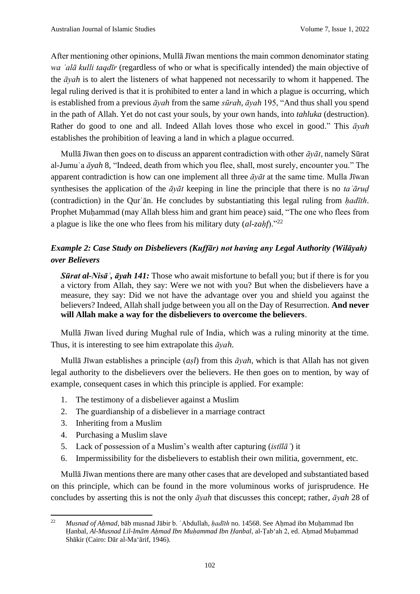After mentioning other opinions, Mullā Jīwan mentions the main common denominator stating *wa ʿalā kulli taqdīr* (regardless of who or what is specifically intended) the main objective of the *āyah* is to alert the listeners of what happened not necessarily to whom it happened. The legal ruling derived is that it is prohibited to enter a land in which a plague is occurring, which is established from a previous *āyah* from the same *sūrah*, *āyah* 195, "And thus shall you spend in the path of Allah. Yet do not cast your souls, by your own hands, into *tahluka* (destruction). Rather do good to one and all. Indeed Allah loves those who excel in good." This *āyah* establishes the prohibition of leaving a land in which a plague occurred.

Mullā Jīwan then goes on to discuss an apparent contradiction with other *āyāt*, namely Sūrat al-Jumuʿa *āyah* 8, "Indeed, death from which you flee, shall, most surely, encounter you." The apparent contradiction is how can one implement all three *āyāt* at the same time. Mulla Jīwan synthesises the application of the *āyāt* keeping in line the principle that there is no *taʿāruḍ* (contradiction) in the Qurʾān. He concludes by substantiating this legal ruling from *ḥadīth*. Prophet Muhammad (may Allah bless him and grant him peace) said, "The one who flees from a plague is like the one who flees from his military duty (*al-zaḥf*)."<sup>22</sup>

# *Example 2: Case Study on Disbelievers (Kuffār) not having any Legal Authority (Wilāyah) over Believers*

*Sūrat al-Nisāʾ, āyah 141:* Those who await misfortune to befall you; but if there is for you a victory from Allah, they say: Were we not with you? But when the disbelievers have a measure, they say: Did we not have the advantage over you and shield you against the believers? Indeed, Allah shall judge between you all on the Day of Resurrection. **And never will Allah make a way for the disbelievers to overcome the believers**.

Mullā Jīwan lived during Mughal rule of India, which was a ruling minority at the time. Thus, it is interesting to see him extrapolate this *āyah*.

Mullā Jīwan establishes a principle (*aṣl*) from this *āyah*, which is that Allah has not given legal authority to the disbelievers over the believers. He then goes on to mention, by way of example, consequent cases in which this principle is applied. For example:

- 1. The testimony of a disbeliever against a Muslim
- 2. The guardianship of a disbeliever in a marriage contract
- 3. Inheriting from a Muslim
- 4. Purchasing a Muslim slave
- 5. Lack of possession of a Muslim's wealth after capturing (*istīlāʾ*) it
- 6. Impermissibility for the disbelievers to establish their own militia, government, etc.

Mullā Jīwan mentions there are many other cases that are developed and substantiated based on this principle, which can be found in the more voluminous works of jurisprudence. He concludes by asserting this is not the only *āyah* that discusses this concept; rather, *āyah* 28 of

<sup>&</sup>lt;sup>22</sup> *Musnad of Ahmad*, bāb musnad Jābir b. ʿAbdullah, *hadīth* no. 14568. See Ahmad ibn Muhammad Ibn Ḥanbal, *Al-Musnad Lil-Imām Aḥmad Ibn Muḥammad Ibn Ḥanbal*, al-Ṭabʻah 2, ed. Aḥmad Muḥammad Shākir (Cairo: Dār al-Maʻārif, 1946).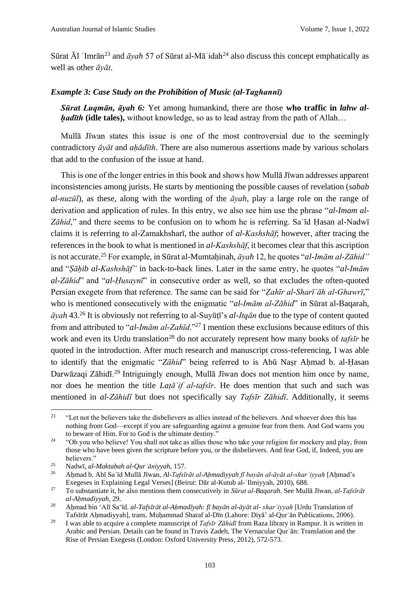Sūrat  $\bar{A}$ l 'Imrān<sup>23</sup> and  $\bar{a}$ *yah* 57 of Sūrat al-Mā<sup> $\cdot$ </sup>idah<sup>24</sup> also discuss this concept emphatically as well as other *āyāt*.

#### *Example 3: Case Study on the Prohibition of Music (al-Taghannī)*

*Sūrat Luqmān, āyah 6:* Yet among humankind, there are those **who traffic in** *lahw alḥadīth* **(idle tales),** without knowledge, so as to lead astray from the path of Allah…

Mullā Jīwan states this issue is one of the most controversial due to the seemingly contradictory *āyāt* and *aḥādīth*. There are also numerous assertions made by various scholars that add to the confusion of the issue at hand.

This is one of the longer entries in this book and shows how Mullā Jīwan addresses apparent inconsistencies among jurists. He starts by mentioning the possible causes of revelation (*sabab al-nuzūl*), as these, along with the wording of the *āyah*, play a large role on the range of derivation and application of rules. In this entry, we also see him use the phrase "*al-Imam al-Zāhid,*" and there seems to be confusion on to whom he is referring. Saʿīd Ḥasan al-Nadwī claims it is referring to al-Zamakhsharī, the author of *al-Kashshāf*; however, after tracing the references in the book to what is mentioned in *al-Kashshāf*, it becomes clear that this ascription is not accurate.<sup>25</sup> For example, in Sūrat al-Mumtaḥinah, *āyah* 12, he quotes "*al-Imām al-Zāhid"* and "*Ṣāḥib al-Kashshāf"* in back-to-back lines. Later in the same entry, he quotes "*al-Imām al-Zāhid*" and "*al-Ḥusaynī*" in consecutive order as well, so that excludes the often-quoted Persian exegete from that reference. The same can be said for "*Ẓahīr al-Sharīʿāh al-Ghawrī*," who is mentioned consecutively with the enigmatic "*al-Imām al-Zāhid*" in Sūrat al-Baqarah, *āyah* 43.<sup>26</sup> It is obviously not referring to al-Suyūṭī's *al-Itqān* due to the type of content quoted from and attributed to "*al-Imām al-Zahīd*."<sup>27</sup> I mention these exclusions because editors of this work and even its Urdu translation<sup>28</sup> do not accurately represent how many books of *tafsīr* he quoted in the introduction. After much research and manuscript cross-referencing, I was able to identify that the enigmatic "*Zāhid*" being referred to is Abū Naṣr Aḥmad b. al-Ḥasan Darwāzaqi Zāhidī.<sup>29</sup> Intriguingly enough, Mullā Jīwan does not mention him once by name, nor does he mention the title *Laṭāʾif al-tafsīr*. He does mention that such and such was mentioned in *al-Zāhidī* but does not specifically say *Tafsīr Zāhidī*. Additionally, it seems

<sup>&</sup>lt;sup>23</sup> "Let not the believers take the disbelievers as allies instead of the believers. And whoever does this has nothing from God—except if you are safeguarding against a genuine fear from them. And God warns you to beware of Him. For to God is the ultimate destiny."

<sup>&</sup>lt;sup>24</sup> "Oh you who believe! You shall not take as allies those who take your religion for mockery and play, from those who have been given the scripture before you, or the disbelievers. And fear God, if, Indeed, you are believers."

<sup>25</sup> Nadwī, *al-Maktabah al-Qurʾāniyyah*, 157.

<sup>26</sup> Aḥmad b. Abī Saʿīd Mullā Jīwan, *Al-Tafsīrāt al-Aḥmadiyyah fī bayān al-āyāt al-sharʿiyyah* [Aḥmad's Exegeses in Explaining Legal Verses] (Beirut: Dār al-Kutub al-ʿIlmiyyah, 2010), 688.

<sup>27</sup> To substantiate it, he also mentions them consecutively in *Sūrat al-Baqarah*. See Mullā Jīwan, *al-Tafsīrāt al-Aḥmadiyyah,* 29.

<sup>28</sup> Aḥmad bin ʻAlī Saʻīd. *al-Tafsīrāt al-Aḥmadīyah: fī bayān al-āyāt al- sharʿiyyah* [Urdu Translation of Tafsīrāt Ahmadiyyah], trans. Muhammad Sharaf al-Dīn (Lahore: Diyā' al-Qur'ān Publications, 2006).

<sup>&</sup>lt;sup>29</sup> I was able to acquire a complete manuscript of *Tafsīr Zāhidī* from Raza library in Rampur. It is written in Arabic and Persian. Details can be found in Travis Zadeh, The Vernacular Qurʾān: Translation and the Rise of Persian Exegesis (London: Oxford University Press, 2012), 572-573.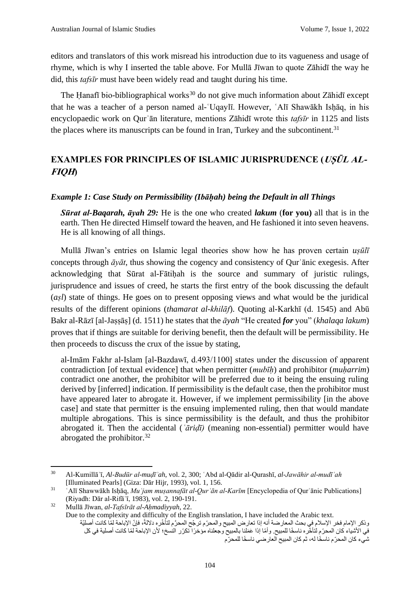editors and translators of this work misread his introduction due to its vagueness and usage of rhyme, which is why I inserted the table above. For Mullā Jīwan to quote Zāhidī the way he did, this *tafsīr* must have been widely read and taught during his time.

The Hanafī bio-bibliographical works<sup>30</sup> do not give much information about Zāhidī except that he was a teacher of a person named al-`Uqaylī. However, `Alī Shawākh Ishāq, in his encyclopaedic work on Qurʾān literature, mentions Zāhidī wrote this *tafsīr* in 1125 and lists the places where its manuscripts can be found in Iran, Turkey and the subcontinent.<sup>31</sup>

# **EXAMPLES FOR PRINCIPLES OF ISLAMIC JURISPRUDENCE (***USŪL AL* **FIQH)**

#### *Example 1: Case Study on Permissibility (Ibāḥah) being the Default in all Things*

*Sūrat al-Baqarah, āyah 29:* He is the one who created *lakum* (**for you)** all that is in the earth. Then He directed Himself toward the heaven, and He fashioned it into seven heavens. He is all knowing of all things.

Mullā Jīwan's entries on Islamic legal theories show how he has proven certain *uṣūlī* concepts through *āyāt*, thus showing the cogency and consistency of Qurʾānic exegesis. After acknowledging that Sūrat al-Fātiḥah is the source and summary of juristic rulings, jurisprudence and issues of creed, he starts the first entry of the book discussing the default (*aṣl*) state of things. He goes on to present opposing views and what would be the juridical results of the different opinions (*thamarat al-khilāf*). Quoting al-Karkhī (d. 1545) and Abū Bakr al-Rāzī [al-Jaṣṣāṣ] (d. 1511) he states that the *āyah* "He created *for* you" (*khalaqa lakum*) proves that if things are suitable for deriving benefit, then the default will be permissibility. He then proceeds to discuss the crux of the issue by stating,

al-Imām Fakhr al-Islam [al-Bazdawī, d.493/1100] states under the discussion of apparent contradiction [of textual evidence] that when permitter (*mubīḥ*) and prohibitor (*muḥarrim*) contradict one another, the prohibitor will be preferred due to it being the ensuing ruling derived by [inferred] indication. If permissibility is the default case, then the prohibitor must have appeared later to abrogate it. However, if we implement permissibility [in the above case] and state that permitter is the ensuing implemented ruling, then that would mandate multiple abrogations. This is since permissibility is the default, and thus the prohibitor abrogated it. Then the accidental (*ʿāriḍī)* (meaning non-essential) permitter would have abrogated the prohibitor.<sup>32</sup>

Due to the complexity and difficulty of the English translation, I have included the Arabic text. وذكر الإمام فخر الإسلام في بحث المعارضة أنه إذا تعارض المبيح والمحرّم ترجّح المحرَّم لتأخّره دلالةً، فإنّ الإباحة لمّا كانت أصليّة في الأشياء كان المحرّم لتأخّره ناسخًا للمبيح. وأمّا إذا عَمَلنا بالمبيح وجعلناه مؤخرًا تكرّر النسخ؛ لأن الإباحة لمّا كانت أصلية في كل شيء كان المحرّم ناسخًا له، ثم كان المبيح العارضي ناسخًا للمحرّم

<sup>30</sup> Al-Kumillāʾī, *Al-Budūr al-muḍīʾah*, vol. 2, 300; ʿAbd al-Qādir al-Qurashī, *al-Jawāhir al-mudīʾah* [Illuminated Pearls] (Giza: Dār Hijr, 1993), vol. 1, 156.

<sup>31</sup> ʿAlī Shawwākh Isḥāq, *Muʿjam muṣannafāt al-Qurʾān al-Karīm* [Encyclopedia of Qurʾānic Publications] (Riyadh: Dār al-Rifāʿī, 1983), vol. 2, 190-191.

<sup>32</sup> Mullā Jīwan, *al-Tafsīrāt al-Aḥmadiyyah*, 22.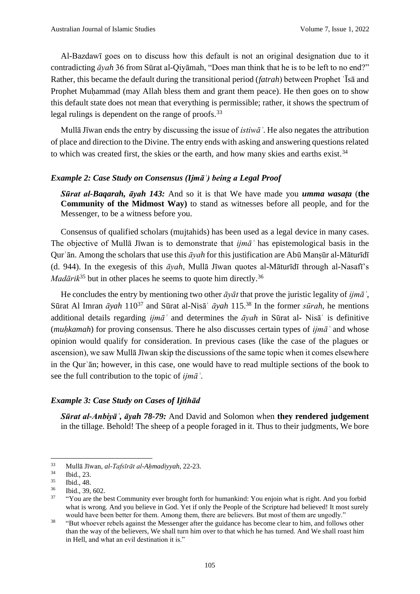Al-Bazdawī goes on to discuss how this default is not an original designation due to it contradicting *āyah* 36 from Sūrat al-Qiyāmah, "Does man think that he is to be left to no end?" Rather, this became the default during the transitional period (*fatrah*) between Prophet ʿĪsā and Prophet Muhammad (may Allah bless them and grant them peace). He then goes on to show this default state does not mean that everything is permissible; rather, it shows the spectrum of legal rulings is dependent on the range of proofs.<sup>33</sup>

Mullā Jīwan ends the entry by discussing the issue of *istiwāʾ*. He also negates the attribution of place and direction to the Divine. The entry ends with asking and answering questions related to which was created first, the skies or the earth, and how many skies and earths exist.<sup>34</sup>

#### *Example 2: Case Study on Consensus (Ijmāʿ) being a Legal Proof*

*Sūrat al-Baqarah, āyah 143:* And so it is that We have made you *umma wasaṭa* (**the Community of the Midmost Way)** to stand as witnesses before all people, and for the Messenger, to be a witness before you.

Consensus of qualified scholars (mujtahids) has been used as a legal device in many cases. The objective of Mullā Jīwan is to demonstrate that *ijmāʿ* has epistemological basis in the Qur' $\bar{a}$ n. Among the scholars that use this  $\bar{a}$ *yah* for this justification are Abū Mansūr al-Māturīdī (d. 944). In the exegesis of this *āyah*, Mullā Jīwan quotes al-Māturīdī through al-Nasafī's *Madārik*<sup>35</sup> but in other places he seems to quote him directly.<sup>36</sup>

He concludes the entry by mentioning two other *āyāt* that prove the juristic legality of *ijmāʿ*, Sūrat Al Imran *āyah* 110<sup>37</sup> and Sūrat al-Nisāʾ *āyah* 115.<sup>38</sup> In the former *sūrah*, he mentions additional details regarding *ijmāʿ* and determines the *āyah* in Sūrat al- Nisāʾ is definitive (*muḥkamah*) for proving consensus. There he also discusses certain types of *ijmāʿ* and whose opinion would qualify for consideration. In previous cases (like the case of the plagues or ascension), we saw Mullā Jīwan skip the discussions of the same topic when it comes elsewhere in the Qurʾān; however, in this case, one would have to read multiple sections of the book to see the full contribution to the topic of *ijmāʿ*.

#### *Example 3: Case Study on Cases of Ijtihād*

*Sūrat al-Anbiyāʾ, āyah 78-79:* And David and Solomon when **they rendered judgement** in the tillage. Behold! The sheep of a people foraged in it. Thus to their judgments, We bore

<sup>33</sup> Mullā Jīwan, *al-Tafsīrāt al-Aḥmadiyyah*, 22-23.

 $\frac{34}{35}$  Ibid., 23.

 $\frac{35}{36}$  Ibid., 48.

<sup>36</sup> Ibid., 39, 602.

<sup>37</sup> "You are the best Community ever brought forth for humankind: You enjoin what is right. And you forbid what is wrong. And you believe in God. Yet if only the People of the Scripture had believed! It most surely would have been better for them. Among them, there are believers. But most of them are ungodly."

<sup>&</sup>lt;sup>38</sup> "But whoever rebels against the Messenger after the guidance has become clear to him, and follows other than the way of the believers, We shall turn him over to that which he has turned. And We shall roast him in Hell, and what an evil destination it is."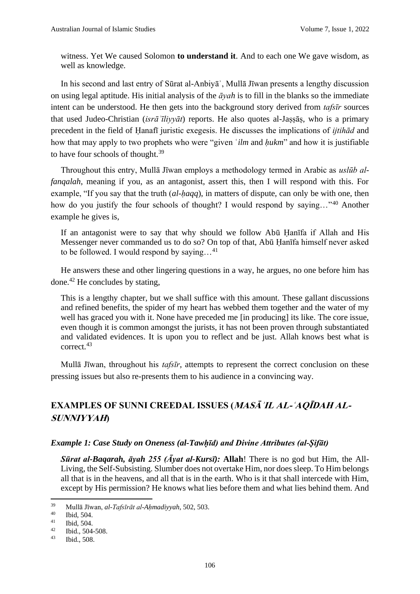witness. Yet We caused Solomon **to understand it**. And to each one We gave wisdom, as well as knowledge.

In his second and last entry of Sūrat al-Anbiyāʾ, Mullā Jīwan presents a lengthy discussion on using legal aptitude. His initial analysis of the *āyah* is to fill in the blanks so the immediate intent can be understood. He then gets into the background story derived from *tafsīr* sources that used Judeo-Christian (*isrāʾīliyyāt*) reports. He also quotes al-Jaṣṣāṣ, who is a primary precedent in the field of Ḥanafī juristic exegesis. He discusses the implications of *ijtihād* and how that may apply to two prophets who were "given ʿ*ilm* and *ḥukm*" and how it is justifiable to have four schools of thought.<sup>39</sup>

Throughout this entry, Mullā Jīwan employs a methodology termed in Arabic as *uslūb alfanqalah*, meaning if you, as an antagonist, assert this, then I will respond with this. For example, "If you say that the truth (*al-ḥaqq*), in matters of dispute, can only be with one, then how do you justify the four schools of thought? I would respond by saying..."<sup>40</sup> Another example he gives is,

If an antagonist were to say that why should we follow Abū Ḥanīfa if Allah and His Messenger never commanded us to do so? On top of that, Abū Ḥanīfa himself never asked to be followed. I would respond by saying...<sup>41</sup>

He answers these and other lingering questions in a way, he argues, no one before him has done.<sup>42</sup> He concludes by stating,

This is a lengthy chapter, but we shall suffice with this amount. These gallant discussions and refined benefits, the spider of my heart has webbed them together and the water of my well has graced you with it. None have preceded me [in producing] its like. The core issue, even though it is common amongst the jurists, it has not been proven through substantiated and validated evidences. It is upon you to reflect and be just. Allah knows best what is correct.<sup>43</sup>

Mullā Jīwan, throughout his *tafsīr*, attempts to represent the correct conclusion on these pressing issues but also re-presents them to his audience in a convincing way.

# **EXAMPLES OF SUNNI CREEDAL ISSUES (MASĀʾIL AL-ʿAQĪDAH AL-SUNNIYYAH)**

#### *Example 1: Case Study on Oneness (al-Tawḥīd) and Divine Attributes (al-Ṣifāt)*

*Sūrat al-Baqarah, āyah 255 (Āyat al-Kursī):* **Allah**! There is no god but Him, the All-Living, the Self-Subsisting. Slumber does not overtake Him, nor does sleep. To Him belongs all that is in the heavens, and all that is in the earth. Who is it that shall intercede with Him, except by His permission? He knows what lies before them and what lies behind them. And

<sup>39</sup> Mullā Jīwan, *al-Tafsīrāt al-Aḥmadiyyah*, 502, 503.

 $^{40}$  Ibid, 504.

<sup>&</sup>lt;sup>41</sup> Ibid, 504.<br><sup>42</sup> Ibid, 504.

 $\frac{42}{43}$  Ibid., 504-508.

Ibid., 508.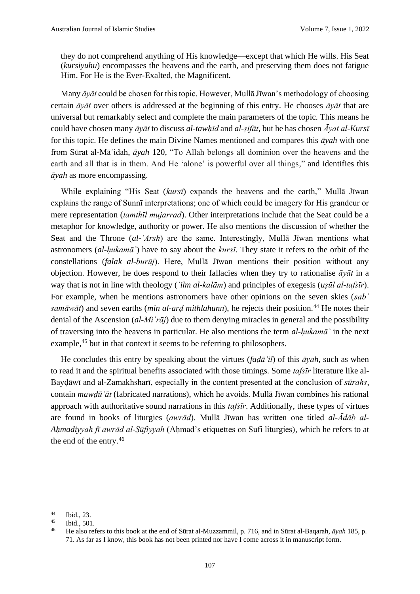they do not comprehend anything of His knowledge—except that which He wills. His Seat (*kursiyuhu*) encompasses the heavens and the earth, and preserving them does not fatigue Him. For He is the Ever-Exalted, the Magnificent.

Many *āyāt* could be chosen for this topic. However, Mullā Jīwan's methodology of choosing certain *āyāt* over others is addressed at the beginning of this entry. He chooses *āyāt* that are universal but remarkably select and complete the main parameters of the topic. This means he could have chosen many *āyāt* to discuss *al-tawḥīd* and *al-ṣifāt,* but he has chosen *Āyat al-Kursī* for this topic. He defines the main Divine Names mentioned and compares this *āyah* with one from Sūrat al-Māʾidah, *āyah* 120, "To Allah belongs all dominion over the heavens and the earth and all that is in them. And He 'alone' is powerful over all things," and identifies this *āyah* as more encompassing.

While explaining "His Seat (*kursī*) expands the heavens and the earth," Mullā Jīwan explains the range of Sunnī interpretations; one of which could be imagery for His grandeur or mere representation (*tamthīl mujarrad*). Other interpretations include that the Seat could be a metaphor for knowledge, authority or power. He also mentions the discussion of whether the Seat and the Throne (*al-ʿArsh*) are the same. Interestingly, Mullā Jīwan mentions what astronomers (*al-ḥukamāʾ*) have to say about the *kursī*. They state it refers to the orbit of the constellations (*falak al-burūj*). Here, Mullā Jīwan mentions their position without any objection. However, he does respond to their fallacies when they try to rationalise *āyāt* in a way that is not in line with theology (*ʿilm al-kalām*) and principles of exegesis (*uṣūl al-tafsīr*). For example, when he mentions astronomers have other opinions on the seven skies (*sabʿ samāwāt*) and seven earths (*min al-arḍ mithlahunn*), he rejects their position.<sup>44</sup> He notes their denial of the Ascension (*al-Miʿrāj*) due to them denying miracles in general and the possibility of traversing into the heavens in particular. He also mentions the term *al-ḥukamāʾ* in the next example,<sup>45</sup> but in that context it seems to be referring to philosophers.

He concludes this entry by speaking about the virtues (*faḍāʾil*) of this *āyah*, such as when to read it and the spiritual benefits associated with those timings. Some *tafsīr* literature like al-Bayḍāwī and al-Zamakhsharī, especially in the content presented at the conclusion of *sūrahs*, contain *mawḍūʿāt* (fabricated narrations), which he avoids. Mullā Jīwan combines his rational approach with authoritative sound narrations in this *tafsīr*. Additionally, these types of virtues are found in books of liturgies (*awrād*). Mullā Jīwan has written one titled *al-Ādāb al-Ahmadiyyah fī awrād al-Sūfiyyah* (Ahmad's etiquettes on Sufi liturgies), which he refers to at the end of the entry.<sup>46</sup>

 $\frac{44}{45}$  Ibid., 23.

 $\begin{array}{cc}\n\text{45} & \text{Ibid., } 501. \\
\text{46} & \text{He also roi}\n\end{array}$ 

<sup>46</sup> He also refers to this book at the end of Sūrat al-Muzzammil, p. 716, and in Sūrat al-Baqarah, *āyah* 185, p. 71. As far as I know, this book has not been printed nor have I come across it in manuscript form.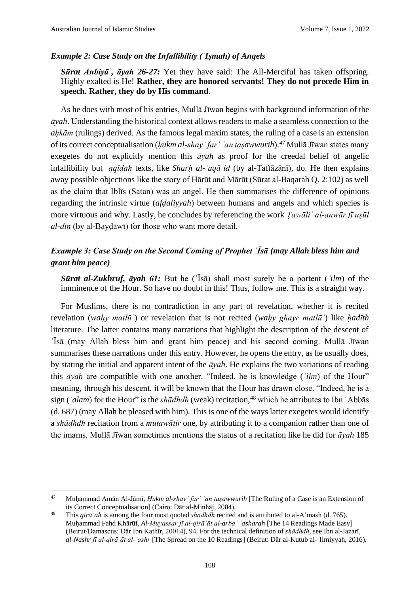#### *Example 2: Case Study on the Infallibility (ʿIṣmah) of Angels*

*Sūrat Anbiyāʾ, āyah 26-27:* Yet they have said: The All-Merciful has taken offspring. Highly exalted is He! **Rather, they are honored servants! They do not precede Him in speech. Rather, they do by His command**.

As he does with most of his entries, Mullā Jīwan begins with background information of the *āyah*. Understanding the historical context allows readers to make a seamless connection to the *ahkām* (rulings) derived. As the famous legal maxim states, the ruling of a case is an extension of its correct conceptualisation (*ḥukm al-shayʾ farʿ ʿan taṣawwurih*).<sup>47</sup> Mullā Jīwan states many exegetes do not explicitly mention this *āyah* as proof for the creedal belief of angelic infallibility but *ʿaqīdah* texts, like *Sharḥ al-ʿaqāʾid* (by al-Taftāzānī), do. He then explains away possible objections like the story of Hārūt and Mārūt (Sūrat al-Baqarah Q. 2:102) as well as the claim that Iblīs (Satan) was an angel. He then summarises the difference of opinions regarding the intrinsic virtue (*afḍaliyyah*) between humans and angels and which species is more virtuous and why. Lastly, he concludes by referencing the work *Ṭawāliʿ al-anwār fī uṣūl al-dīn* (by al-Bayḍāwī) for those who want more detail.

# *Example 3: Case Study on the Second Coming of Prophet ʿĪsā (may Allah bless him and grant him peace)*

*Sūrat al-Zukhruf, āyah 61:* But he (ʿĪsā) shall most surely be a portent (*ʿilm*) of the imminence of the Hour. So have no doubt in this! Thus, follow me. This is a straight way.

For Muslims, there is no contradiction in any part of revelation, whether it is recited revelation (*waḥy matlūʾ*) or revelation that is not recited (*waḥy ghayr matlūʾ*) like *ḥadīth* literature. The latter contains many narrations that highlight the description of the descent of ʿĪsā (may Allah bless him and grant him peace) and his second coming. Mullā Jīwan summarises these narrations under this entry. However, he opens the entry, as he usually does, by stating the initial and apparent intent of the *āyah*. He explains the two variations of reading this *āyah* are compatible with one another. "Indeed, he is knowledge (*ʿilm*) of the Hour" meaning, through his descent, it will be known that the Hour has drawn close. "Indeed, he is a sign (*ʿalam*) for the Hour" is the *shādhdh* (weak) recitation, <sup>48</sup> which he attributes to Ibn ʿAbbās (d. 687) (may Allah be pleased with him). This is one of the ways latter exegetes would identify a *shādhdh* recitation from a *mutawātir* one, by attributing it to a companion rather than one of the imams. Mullā Jīwan sometimes mentions the status of a recitation like he did for *āyah* 185

<sup>47</sup> Muḥammad Amān Al-Jāmī, *Ḥukm al-shayʾ farʿ ʿan taṣawwurih* [The Ruling of a Case is an Extension of its Correct Conceptualisation] (Cairo: Dār al-Minhāj, 2004).

<sup>48</sup> This *qirāʾah* is among the four most quoted *shādhdh* recited and is attributed to al-Aʿmash (d. 765). Muḥammad Fahd Khārūf, *Al-Muyassar fī al-qirāʾāt al-arbaʿ ʿasharah* [The 14 Readings Made Easy] (Beirut/Damascus: Dār Ibn Kathīr, 20014), 94. For the technical definition of *shādhdh*, see Ibn al-Jazarī, *al-Nashr fī al-qirāʾāt al-ʿashr* [The Spread on the 10 Readings] (Beirut: Dār al-Kutub al-ʿIlmiyyah, 2016).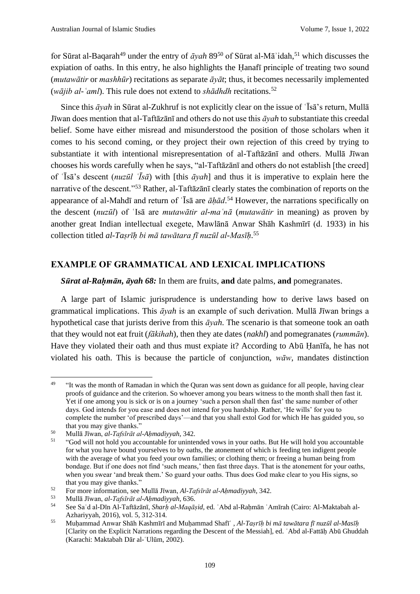for Sūrat al-Baqarah<sup>49</sup> under the entry of *āyah* 89<sup>50</sup> of Sūrat al-Mā<sup>'</sup>idah,<sup>51</sup> which discusses the expiation of oaths. In this entry, he also highlights the Ḥanafī principle of treating two sound (*mutawātir* or *mashhūr*) recitations as separate *āyāt*; thus, it becomes necessarily implemented (*wājib al-ʿaml*). This rule does not extend to *shādhdh* recitations.<sup>52</sup>

Since this *āyah* in Sūrat al-Zukhruf is not explicitly clear on the issue of ʿĪsā's return, Mullā Jīwan does mention that al-Taftāzānī and others do not use this *āyah* to substantiate this creedal belief. Some have either misread and misunderstood the position of those scholars when it comes to his second coming, or they project their own rejection of this creed by trying to substantiate it with intentional misrepresentation of al-Taftāzānī and others. Mullā Jīwan chooses his words carefully when he says, "al-Taftāzānī and others do not establish [the creed] of ʿĪsā's descent (*nuzūl ʿĪsā*) with [this *āyah*] and thus it is imperative to explain here the narrative of the descent."<sup>53</sup> Rather, al-Taftāzānī clearly states the combination of reports on the appearance of al-Mahdī and return of ʿĪsā are *āḥād*. <sup>54</sup> However, the narrations specifically on the descent (*nuzūl*) of ʿIsā are *mutawātir al-maʿnā* (*mutawātir* in meaning) as proven by another great Indian intellectual exegete, Mawlānā Anwar Shāh Kashmīrī (d. 1933) in his collection titled *al-Taṣrīḥ bi mā tawātara fī nuzūl al-Masīḥ*. 55

#### **EXAMPLE OF GRAMMATICAL AND LEXICAL IMPLICATIONS**

*Sūrat al-Raḥmān, āyah 68:* In them are fruits, **and** date palms, **and** pomegranates.

A large part of Islamic jurisprudence is understanding how to derive laws based on grammatical implications. This *āyah* is an example of such derivation. Mullā Jīwan brings a hypothetical case that jurists derive from this *āyah*. The scenario is that someone took an oath that they would not eat fruit (*fākihah*), then they ate dates (*nakhl*) and pomegranates (*rummān*). Have they violated their oath and thus must expiate it? According to Abū Ḥanīfa, he has not violated his oath. This is because the particle of conjunction, *wāw*, mandates distinction

<sup>49</sup> "It was the month of Ramadan in which the Quran was sent down as guidance for all people, having clear proofs of guidance and the criterion. So whoever among you bears witness to the month shall then fast it. Yet if one among you is sick or is on a journey 'such a person shall then fast' the same number of other days. God intends for you ease and does not intend for you hardship. Rather, 'He wills' for you to complete the number 'of prescribed days'—and that you shall extol God for which He has guided you, so that you may give thanks."

<sup>50</sup> Mullā Jīwan, *al-Tafsīrāt al-Aḥmadiyyah*, 342.

<sup>51</sup> "God will not hold you accountable for unintended vows in your oaths. But He will hold you accountable for what you have bound yourselves to by oaths, the atonement of which is feeding ten indigent people with the average of what you feed your own families; or clothing them; or freeing a human being from bondage. But if one does not find 'such means,' then fast three days. That is the atonement for your oaths, when you swear 'and break them.' So guard your oaths. Thus does God make clear to you His signs, so that you may give thanks."

<sup>52</sup> For more information, see Mullā Jīwan, *Al-Tafsīrāt al-Aḥmadiyyah*, 342.

<sup>53</sup> Mullā Jīwan, *al-Tafsīrāt al-Aḥmadiyyah*, 636.

<sup>54</sup> See Saʿd al-Dīn Al-Taftāzānī, *Sharḥ al-Maqāṣid*, ed. ʿAbd al-Raḥmān ʿAmīrah (Cairo: Al-Maktabah al-Azhariyyah, 2016), vol. 5, 312-314.

<sup>55</sup> Muḥammad Anwar Shāh Kashmīrī and Muḥammad Shafīʿ , *Al-Taṣrīḥ bi mā tawātara fī nuzūl al-Masīḥ* [Clarity on the Explicit Narrations regarding the Descent of the Messiah], ed. ʿAbd al-Fattāḥ Abū Ghuddah (Karachi: Maktabah Dār al-ʿUlūm, 2002).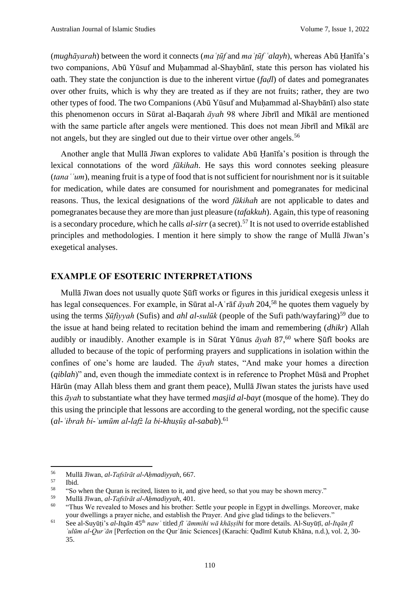(*mughāyarah*) between the word it connects (*maʿṭūf* and *maʿṭūf ʿalayh*), whereas Abū Ḥanīfa's two companions, Abū Yūsuf and Muhammad al-Shaybānī, state this person has violated his oath. They state the conjunction is due to the inherent virtue (*faḍl*) of dates and pomegranates over other fruits, which is why they are treated as if they are not fruits; rather, they are two other types of food. The two Companions (Abū Yūsuf and Muḥammad al-Shaybānī) also state this phenomenon occurs in Sūrat al-Baqarah *āyah* 98 where Jibrīl and Mīkāl are mentioned with the same particle after angels were mentioned. This does not mean Jibrīl and Mīkāl are not angels, but they are singled out due to their virtue over other angels.<sup>56</sup>

Another angle that Mullā Jīwan explores to validate Abū Ḥanīfa's position is through the lexical connotations of the word *fākihah*. He says this word connotes seeking pleasure (*tanaʿʿum*), meaning fruit is a type of food that is not sufficient for nourishment nor is it suitable for medication, while dates are consumed for nourishment and pomegranates for medicinal reasons. Thus, the lexical designations of the word *fākihah* are not applicable to dates and pomegranates because they are more than just pleasure (*tafakkuh*). Again, this type of reasoning is a secondary procedure, which he calls *al-sirr* (a secret).<sup>57</sup> It is not used to override established principles and methodologies. I mention it here simply to show the range of Mullā Jīwan's exegetical analyses.

#### **EXAMPLE OF ESOTERIC INTERPRETATIONS**

Mullā Jīwan does not usually quote Ṣūfī works or figures in this juridical exegesis unless it has legal consequences. For example, in Sūrat al-Aʿrāf *āyah* 204,<sup>58</sup> he quotes them vaguely by using the terms *Şūfiyyah* (Sufis) and *ahl al-sulūk* (people of the Sufi path/wayfaring)<sup>59</sup> due to the issue at hand being related to recitation behind the imam and remembering (*dhikr*) Allah audibly or inaudibly. Another example is in Sūrat Yūnus *āyah* 87,<sup>60</sup> where Şūfī books are alluded to because of the topic of performing prayers and supplications in isolation within the confines of one's home are lauded. The *āyah* states, "And make your homes a direction (*qiblah*)" and, even though the immediate context is in reference to Prophet Mūsā and Prophet Hārūn (may Allah bless them and grant them peace), Mullā Jīwan states the jurists have used this *āyah* to substantiate what they have termed *masjid al-bayt* (mosque of the home). They do this using the principle that lessons are according to the general wording, not the specific cause (*al-ʿibrah bi-ʿumūm al-lafż la bi-khuṣūṣ al-sabab*).<sup>61</sup>

<sup>56</sup> Mullā Jīwan, *al-Tafsīrāt al-Aḥmadiyyah*, 667.

 $rac{57}{58}$  Ibid.

<sup>&</sup>lt;sup>58</sup> "So when the Quran is recited, listen to it, and give heed, so that you may be shown mercy."<br><sup>59</sup> Malla Fruen, al Teferuzt al Alungdinual, 401

<sup>59</sup> Mullā Jīwan, *al-Tafsīrāt al-Aḥmadiyyah*, 401.

<sup>60</sup> "Thus We revealed to Moses and his brother: Settle your people in Egypt in dwellings. Moreover, make your dwellings a prayer niche, and establish the Prayer. And give glad tidings to the believers."

<sup>61</sup> See al-Suyūṭi's *al-Itqān* 45th *nawʿ* titled *fī ʿāmmihi wā khāṣṣihi* for more details. Al-Suyūṭī, *al-Itqān fī ʿulūm al-Qurʾān* [Perfection on the Qurʾānic Sciences] (Karachi: Qadīmī Kutub Khāna, n.d.), vol. 2, 30- 35.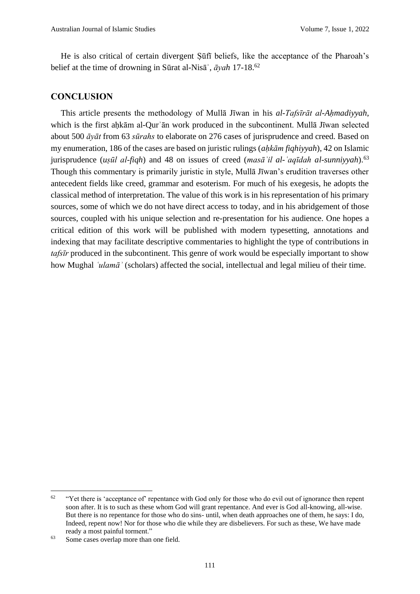He is also critical of certain divergent Ṣūfī beliefs, like the acceptance of the Pharoah's belief at the time of drowning in Sūrat al-Nisāʾ, *āyah* 17-18.<sup>62</sup>

#### **CONCLUSION**

This article presents the methodology of Mullā Jīwan in his *al-Tafsīrāt al-Aḥmadiyyah*, which is the first aḥkām al-Qurʾān work produced in the subcontinent. Mullā Jīwan selected about 500 *āyāt* from 63 *sūrahs* to elaborate on 276 cases of jurisprudence and creed. Based on my enumeration, 186 of the cases are based on juristic rulings (*aḥkām fiqhiyyah*), 42 on Islamic jurisprudence (*uṣūl al-fiqh*) and 48 on issues of creed (*masāʾil al-ʿaqīdah al-sunniyyah*). 63 Though this commentary is primarily juristic in style, Mullā Jīwan's erudition traverses other antecedent fields like creed, grammar and esoterism. For much of his exegesis, he adopts the classical method of interpretation. The value of this work is in his representation of his primary sources, some of which we do not have direct access to today, and in his abridgement of those sources, coupled with his unique selection and re-presentation for his audience. One hopes a critical edition of this work will be published with modern typesetting, annotations and indexing that may facilitate descriptive commentaries to highlight the type of contributions in *tafsīr* produced in the subcontinent. This genre of work would be especially important to show how Mughal *ʿulamāʾ* (scholars) affected the social, intellectual and legal milieu of their time.

 $62$  "Yet there is 'acceptance of' repentance with God only for those who do evil out of ignorance then repent soon after. It is to such as these whom God will grant repentance. And ever is God all-knowing, all-wise. But there is no repentance for those who do sins- until, when death approaches one of them, he says: I do, Indeed, repent now! Nor for those who die while they are disbelievers. For such as these, We have made ready a most painful torment."

<sup>&</sup>lt;sup>63</sup> Some cases overlap more than one field.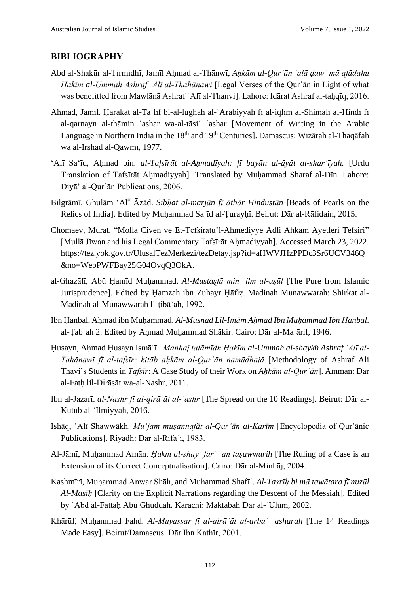#### **BIBLIOGRAPHY**

- Abd al-Shakūr al-Tirmidhī, Jamīl Aḥmad al-Thānwī, *Aḥkām al-Qurʾān ʿalā ḍawʾ mā afādahu Ḥakīm al-Ummah Ashraf ʿAlī al-Thahānawi* [Legal Verses of the Qurʾān in Light of what was benefitted from Mawlānā Ashraf ʿAlī al-Thanvi]. Lahore: Idārat Ashraf al-taḥqīq, 2016.
- Ahmad, Jamīl. Harakat al-Ta'līf bi-al-lughah al-`Arabiyyah fī al-iqlīm al-Shimālī al-Hindī fī al-qarnayn al-thāmin ʿashar wa-al-tāsiʿ ʿashar [Movement of Writing in the Arabic Language in Northern India in the 18<sup>th</sup> and 19<sup>th</sup> Centuries]. Damascus: Wizārah al-Thaqāfah wa al-Irshād al-Qawmī, 1977.
- ʻAlī Saʻīd, Aḥmad bin. *al-Tafsīrāt al-Aḥmadīyah: fī bayān al-āyāt al-sharʻīyah.* [Urdu Translation of Tafsīrāt Aḥmadiyyah]*.* Translated by Muḥammad Sharaf al-Dīn. Lahore: Diyā' al-Qurʾān Publications, 2006.
- Bilgrāmī, Ghulām ʻAlī̄ Āzād. *Sibḥat al-marjān fī āthār Hindustān* [Beads of Pearls on the Relics of India]. Edited by Muḥammad Saʿīd al-Ṭurayḥī. Beirut: Dār al-Rāfidain, 2015.
- Chomaev, Murat. "Molla Civen ve Et-Tefsiratu'l-Ahmediyye Adli Ahkam Ayetleri Tefsiri" [Mullā Jīwan and his Legal Commentary Tafsīrāt Ahmadiyyah]. Accessed March 23, 2022. https://tez.yok.gov.tr/UlusalTezMerkezi/tezDetay.jsp?id=aHWVJHzPPDc3Sr6UCV346Q &no=WebPWFBay25G04OvqQ3OkA.
- al-Ghazālī, Abū Ḥamīd Muḥammad. *Al-Mustaṣfā min ʿilm al-uṣūl* [The Pure from Islamic Jurisprudence]. Edited by Ḥamzah ibn Zuhayr Ḥāfiẓ. Madinah Munawwarah: Shirkat al-Madinah al-Munawwarah li-ṭibāʿah, 1992.
- Ibn Ḥanbal, Aḥmad ibn Muḥammad. *Al-Musnad Lil-Imām Aḥmad Ibn Muḥammad Ibn Ḥanbal*. al-Ṭabʿah 2. Edited by Aḥmad Muḥammad Shākir. Cairo: Dār al-Maʿārif, 1946.
- Ḥusayn, Aḥmad Ḥusayn Ismāʿīl. *Manhaj talāmīdh Ḥakīm al-Ummah al-shaykh Ashraf ʿAlī al-Tahānawī fī al-tafsīr: kitāb aḥkām al-Qurʾān namūdhajā* [Methodology of Ashraf Ali Thavi's Students in *Tafsīr*: A Case Study of their Work on *Aḥkām al-Qurʾān*]. Amman: Dār al-Fatḥ lil-Dirāsāt wa-al-Nashr, 2011.
- Ibn al-Jazarī. *al-Nashr fī al-qirāʾāt al-ʿashr* [The Spread on the 10 Readings]. Beirut: Dār al-Kutub al-ʿIlmiyyah, 2016.
- Isḥāq, ʿAlī Shawwākh. *Muʿjam muṣannafāt al-Qurʾān al-Karīm* [Encyclopedia of Qurʾānic Publications]. Riyadh: Dār al-Rifāʿī, 1983.
- Al-Jāmī, Muḥammad Amān. *Ḥukm al-shayʾ farʿ ʿan taṣawwurih* [The Ruling of a Case is an Extension of its Correct Conceptualisation]. Cairo: Dār al-Minhāj, 2004.
- Kashmīrī, Muḥammad Anwar Shāh, and Muḥammad Shafīʿ. *Al-Taṣrīḥ bi mā tawātara fī nuzūl Al-Masīḥ* [Clarity on the Explicit Narrations regarding the Descent of the Messiah]. Edited by ʿAbd al-Fattāḥ Abū Ghuddah. Karachi: Maktabah Dār al-ʿUlūm, 2002.
- Khārūf, Muḥammad Fahd. *Al-Muyassar fī al-qirāʾāt al-arbaʿ ʿasharah* [The 14 Readings Made Easy]*.* Beirut/Damascus: Dār Ibn Kathīr, 2001.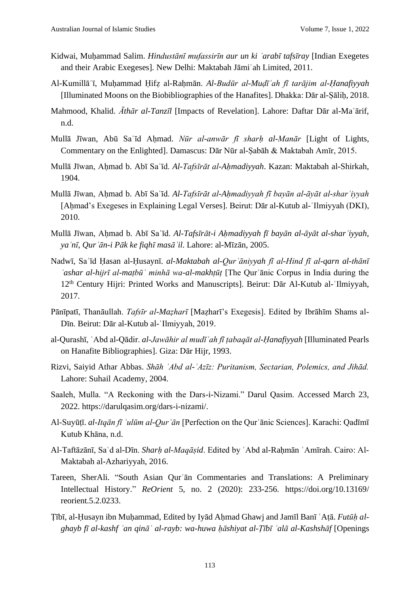- Kidwai, Muḥammad Salim. *Hindustānī mufassirīn aur un ki ʿarabī tafsīray* [Indian Exegetes and their Arabic Exegeses]*.* New Delhi: Maktabah Jāmiʿah Limited, 2011.
- Al-Kumillāʾī, Muḥammad Ḥifẓ al-Raḥmān. *Al-Budūr al-Muḍīʾah fī tarājim al-Ḥanafiyyah* [Illuminated Moons on the Biobibliographies of the Hanafites]. Dhakka: Dār al-Ṣāliḥ, 2018.
- Mahmood, Khalid. *Āthār al-Tanzīl* [Impacts of Revelation]. Lahore: Daftar Dār al-Maʿārif, n.d.
- Mullā Jīwan, Abū Saʿīd Aḥmad. *Nūr al-anwār fī sharḥ al-Manār* [Light of Lights, Commentary on the Enlighted]. Damascus: Dār Nūr al-Ṣabāh & Maktabah Amīr, 2015.
- Mullā Jīwan, Aḥmad b. Abī Saʿīd. *Al-Tafsīrāt al-Aḥmadiyyah*. Kazan: Maktabah al-Shirkah, 1904.
- Mullā Jīwan, Aḥmad b. Abī Saʿīd. *Al-Tafsīrāt al-Aḥmadiyyah fī bayān al-āyāt al-sharʿiyyah* [Aḥmad's Exegeses in Explaining Legal Verses]. Beirut: Dār al-Kutub al-ʿIlmiyyah (DKI), 2010.
- Mullā Jīwan, Aḥmad b. Abī Saʿīd. *Al-Tafsīrāt-i Aḥmadiyyah fī bayān al-āyāt al-sharʿiyyah, yaʿnī, Qurʾān-i Pāk ke fiqhī masāʾil*. Lahore: al-Mīzān, 2005.
- Nadwī, Saʿīd Ḥasan al-Ḥusaynī. *al-Maktabah al-Qurʾāniyyah fī al-Hind fī al-qarn al-thānī ʿashar al-hijrī al-maṭbūʿ minhā wa-al-makhṭūṭ* [The Qurʾānic Corpus in India during the 12th Century Hijri: Printed Works and Manuscripts]. Beirut: Dār Al-Kutub al-ʿIlmiyyah, 2017.
- Pānīpatī, Thanāullah. *Tafsīr al-Maẓharī* [Maẓharī's Exegesis]. Edited by Ibrāhīm Shams al-Dīn. Beirut: Dār al-Kutub al-ʿIlmiyyah, 2019.
- al-Qurashī, ʿAbd al-Qādir. *al-Jawāhir al mudīʾah fī ṭabaqāt al-Ḥanafiyyah* [Illuminated Pearls on Hanafite Bibliographies]. Giza: Dār Hijr, 1993.
- Rizvi, Saiyid Athar Abbas. *Shāh ʿAbd al-ʿAzīz: Puritanism, Sectarian, Polemics, and Jihād.* Lahore: Suhail Academy, 2004.
- Saaleh, Mulla. "A Reckoning with the Dars-i-Nizami." Darul Qasim. Accessed March 23, 2022. https://darulqasim.org/dars-i-nizami/.
- Al-Suyūṭī. *al-Itqān fī ʿulūm al-Qurʾān* [Perfection on the Qurʾānic Sciences]. Karachi: Qadīmī Kutub Khāna, n.d.
- Al-Taftāzānī, Saʿd al-Dīn. *Sharḥ al-Maqāṣid*. Edited by ʿAbd al-Raḥmān ʿAmīrah. Cairo: Al-Maktabah al-Azhariyyah, 2016.
- Tareen, SherAli. "South Asian Qurʾān Commentaries and Translations: A Preliminary Intellectual History." *ReOrient* 5, no. 2 (2020): 233-256. https://doi.org/10.13169/ reorient.5.2.0233.
- Ṭībī, al-Ḥusayn ibn Muḥammad, Edited by Iyād Aḥmad Ghawj and Jamīl Banī ʿAṭā. *Futūḥ alghayb fī al-kashf ʿan qināʿ al-rayb: wa-huwa ḥāshiyat al-Ṭībī ʿalā al-Kashshāf* [Openings